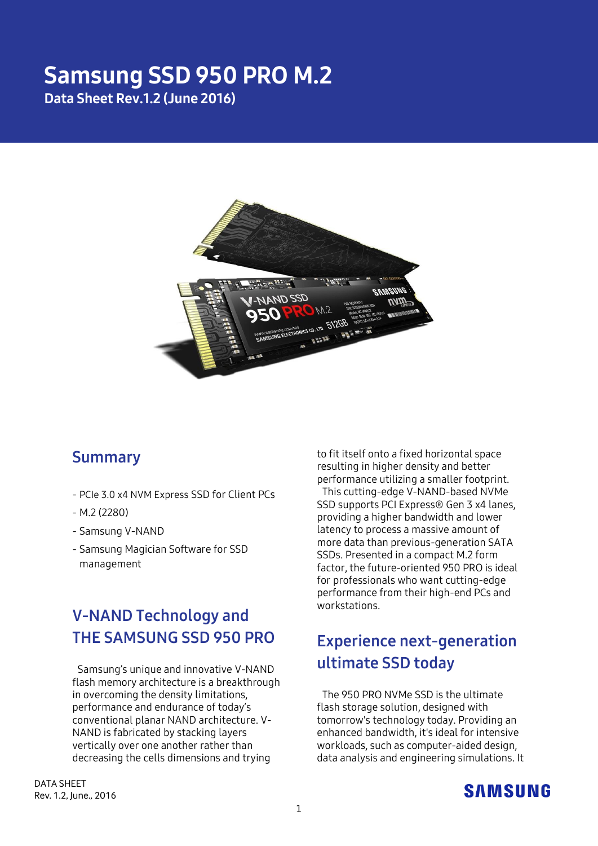# Samsung SSD 950 PRO M.2 Data Sheet Rev.1.2 (June 2016)



## **Summary**

- PCIe 3.0 x4 NVM Express SSD for Client PCs
- M.2 (2280)
- Samsung V-NAND
- Samsung Magician Software for SSD management

# **V-NAND Technology and THE SAMSUNG SSD 950 PRO**

Samsung's unique and innovative V-NAND flash memory architecture is a breakthrough in overcoming the density limitations, performance and endurance of today's conventional planar NAND architecture. V-NAND is fabricated by stacking layers vertically over one another rather than decreasing the cells dimensions and trying

to fit itself onto a fixed horizontal space resulting in higher density and better performance utilizing a smaller footprint. This cutting-edge V-NAND-based NVMe SSD supports PCI Express® Gen 3 x4 lanes, providing a higher bandwidth and lower latency to process a massive amount of more data than previous-generation SATA SSDs. Presented in a compact M.2 form factor, the future-oriented 950 PRO is ideal for professionals who want cutting-edge performance from their high-end PCs and workstations.

# **Experience next-generation ultimate SSD today**

The 950 PRO NVMe SSD is the ultimate flash storage solution, designed with tomorrow's technology today. Providing an enhanced bandwidth, it's ideal for intensive workloads, such as computer-aided design, data analysis and engineering simulations. It

DATA SHEET Rev. 1.2, June., 2016

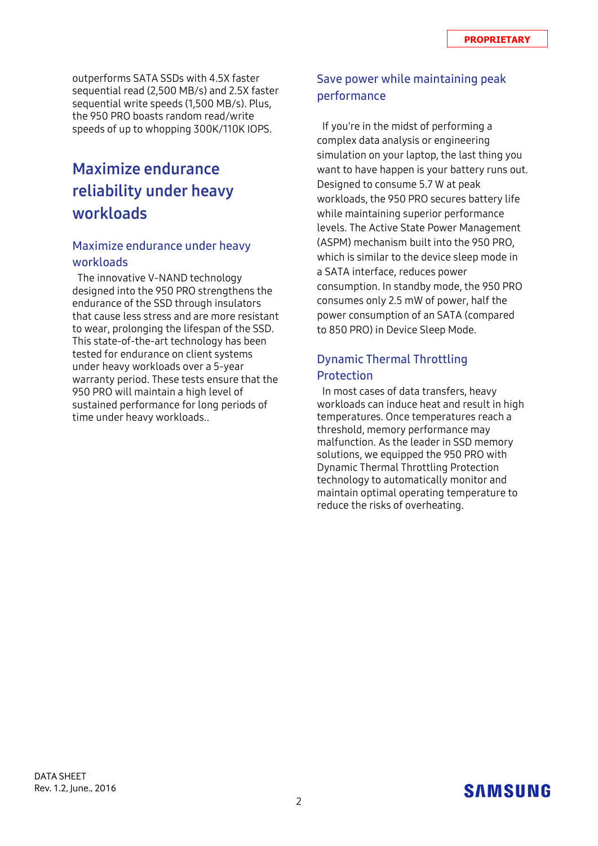outperforms SATA SSDs with 4.5X faster sequential read (2,500 MB/s) and 2.5X faster sequential write speeds (1,500 MB/s). Plus, the 950 PRO boasts random read/write speeds of up to whopping 300K/110K IOPS.

# **Maximize endurance reliability under heavy workloads**

#### **Maximize endurance under heavy workloads**

The innovative V-NAND technology designed into the 950 PRO strengthens the endurance of the SSD through insulators that cause less stress and are more resistant to wear, prolonging the lifespan of the SSD. This state-of-the-art technology has been tested for endurance on client systems under heavy workloads over a 5-year warranty period. These tests ensure that the 950 PRO will maintain a high level of sustained performance for long periods of time under heavy workloads..

### **Save power while maintaining peak performance**

If you're in the midst of performing a complex data analysis or engineering simulation on your laptop, the last thing you want to have happen is your battery runs out. Designed to consume 5.7 W at peak workloads, the 950 PRO secures battery life while maintaining superior performance levels. The Active State Power Management (ASPM) mechanism built into the 950 PRO, which is similar to the device sleep mode in a SATA interface, reduces power consumption. In standby mode, the 950 PRO consumes only 2.5 mW of power, half the power consumption of an SATA (compared to 850 PRO) in Device Sleep Mode.

### **Dynamic Thermal Throttling Protection**

In most cases of data transfers, heavy workloads can induce heat and result in high temperatures. Once temperatures reach a threshold, memory performance may malfunction. As the leader in SSD memory solutions, we equipped the 950 PRO with Dynamic Thermal Throttling Protection technology to automatically monitor and maintain optimal operating temperature to reduce the risks of overheating.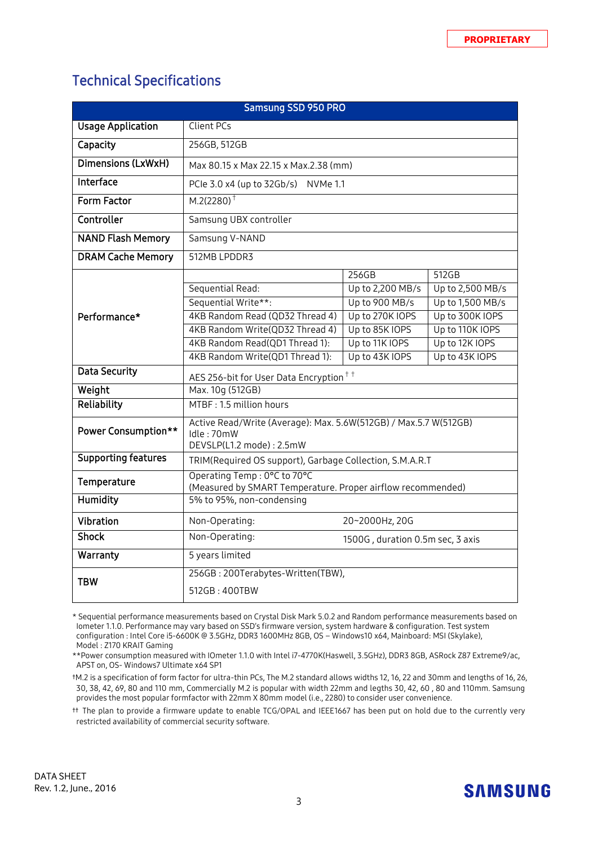## Technical Specifications

| Samsung SSD 950 PRO        |                                                                                                            |                                  |                  |  |  |
|----------------------------|------------------------------------------------------------------------------------------------------------|----------------------------------|------------------|--|--|
| <b>Usage Application</b>   | <b>Client PCs</b>                                                                                          |                                  |                  |  |  |
| Capacity                   | 256GB, 512GB                                                                                               |                                  |                  |  |  |
| Dimensions (LxWxH)         | Max 80.15 x Max 22.15 x Max.2.38 (mm)                                                                      |                                  |                  |  |  |
| Interface                  | PCIe 3.0 x4 (up to 32Gb/s) NVMe 1.1                                                                        |                                  |                  |  |  |
| Form Factor                | $M.2(2280)^+$                                                                                              |                                  |                  |  |  |
| Controller                 | Samsung UBX controller                                                                                     |                                  |                  |  |  |
| <b>NAND Flash Memory</b>   | Samsung V-NAND                                                                                             |                                  |                  |  |  |
| <b>DRAM Cache Memory</b>   | 512MB LPDDR3                                                                                               |                                  |                  |  |  |
| Performance*               |                                                                                                            | 256GB                            | 512GB            |  |  |
|                            | Sequential Read:                                                                                           | Up to 2,200 MB/s                 | Up to 2,500 MB/s |  |  |
|                            | Sequential Write**:                                                                                        | Up to 900 MB/s                   | Up to 1,500 MB/s |  |  |
|                            | 4KB Random Read (QD32 Thread 4)                                                                            | Up to 270K IOPS                  | Up to 300K IOPS  |  |  |
|                            | 4KB Random Write(QD32 Thread 4)                                                                            | Up to 85K IOPS                   | Up to 110K IOPS  |  |  |
|                            | 4KB Random Read(QD1 Thread 1):                                                                             | Up to 11K IOPS                   | Up to 12K IOPS   |  |  |
|                            | 4KB Random Write(QD1 Thread 1):                                                                            | Up to 43K IOPS                   | Up to 43K IOPS   |  |  |
| Data Security              | AES 256-bit for User Data Encryption <sup>††</sup>                                                         |                                  |                  |  |  |
| Weight                     | Max. 10g (512GB)                                                                                           |                                  |                  |  |  |
| Reliability                | MTBF: 1.5 million hours                                                                                    |                                  |                  |  |  |
| <b>Power Consumption**</b> | Active Read/Write (Average): Max. 5.6W(512GB) / Max.5.7 W(512GB)<br>Idle: 70mW<br>DEVSLP(L1.2 mode): 2.5mW |                                  |                  |  |  |
| <b>Supporting features</b> | TRIM(Required OS support), Garbage Collection, S.M.A.R.T                                                   |                                  |                  |  |  |
| Temperature                | Operating Temp: 0°C to 70°C<br>(Measured by SMART Temperature. Proper airflow recommended)                 |                                  |                  |  |  |
| <b>Humidity</b>            | 5% to 95%, non-condensing                                                                                  |                                  |                  |  |  |
| Vibration                  | Non-Operating:<br>20~2000Hz, 20G                                                                           |                                  |                  |  |  |
| <b>Shock</b>               | Non-Operating:                                                                                             | 1500G, duration 0.5m sec, 3 axis |                  |  |  |
| Warranty                   | 5 years limited                                                                                            |                                  |                  |  |  |
| <b>TBW</b>                 | 256GB: 200Terabytes-Written(TBW),                                                                          |                                  |                  |  |  |
|                            | 512GB: 400TBW                                                                                              |                                  |                  |  |  |
|                            |                                                                                                            |                                  |                  |  |  |

\* Sequential performance measurements based on Crystal Disk Mark 5.0.2 and Random performance measurements based on Iometer 1.1.0. Performance may vary based on SSD's firmware version, system hardware & configuration. Test system configuration : Intel Core i5-6600K @ 3.5GHz, DDR3 1600MHz 8GB, OS – Windows10 x64, Mainboard: MSI (Skylake), Model : Z170 KRAIT Gaming

\*\*Power consumption measured with IOmeter 1.1.0 with Intel i7-4770K(Haswell, 3.5GHz), DDR3 8GB, ASRock Z87 Extreme9/ac, APST on, OS- Windows7 Ultimate x64 SP1

†M.2 is a specification of form factor for ultra-thin PCs, The M.2 standard allows widths 12, 16, 22 and 30mm and lengths of 16, 26, 30, 38, 42, 69, 80 and 110 mm, Commercially M.2 is popular with width 22mm and legths 30, 42, 60 , 80 and 110mm. Samsung provides the most popular formfactor with 22mm X 80mm model (i.e., 2280) to consider user convenience.

†† The plan to provide a firmware update to enable TCG/OPAL and IEEE1667 has been put on hold due to the currently very restricted availability of commercial security software.